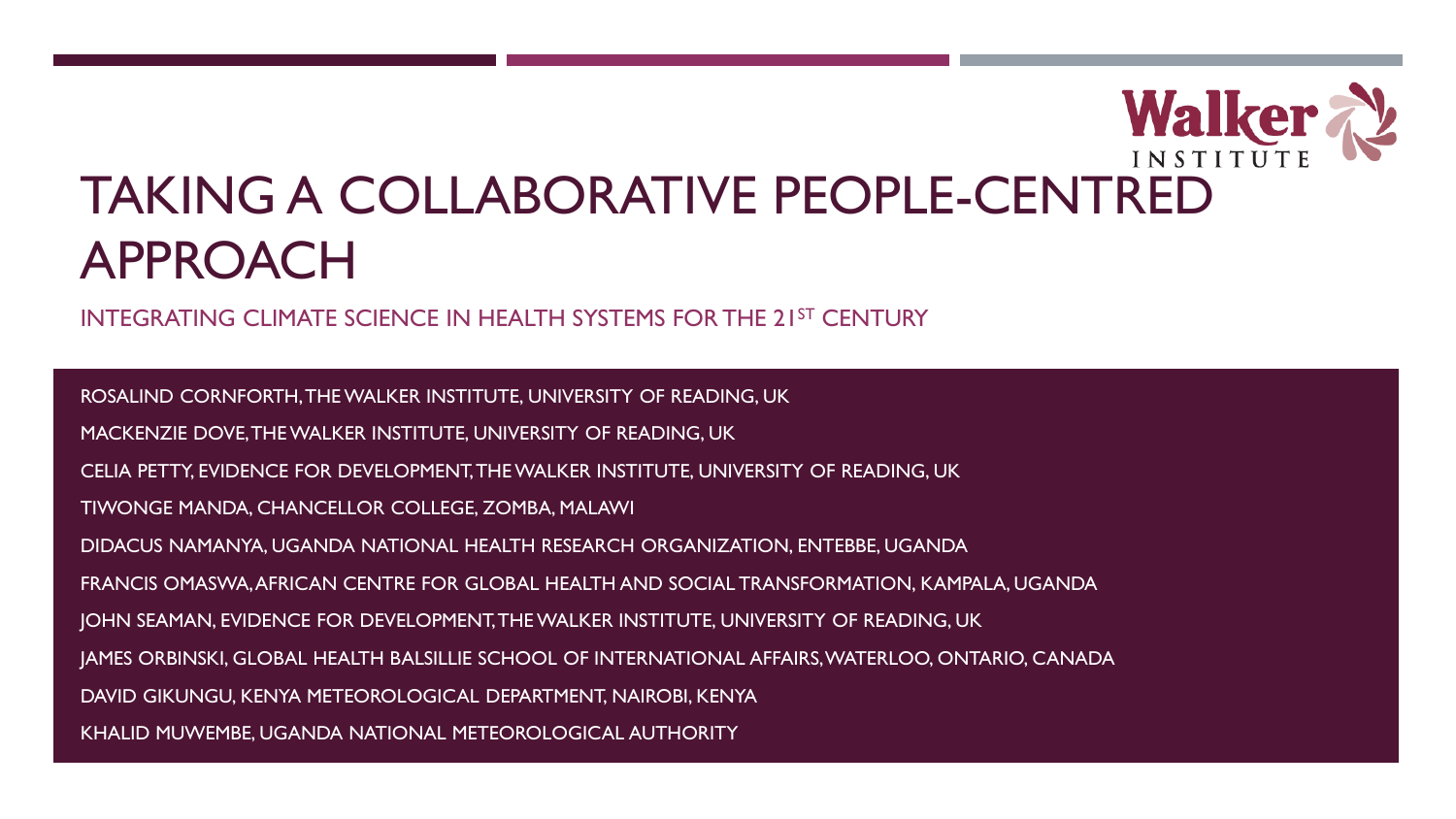# Walker TAKING A COLLABORATIVE PEOPLE-CENTRED APPROACH

INTEGRATING CLIMATE SCIENCE IN HEALTH SYSTEMS FOR THE 21ST CENTURY

ROSALIND CORNFORTH, THE WALKER INSTITUTE, UNIVERSITY OF READING, UK MACKENZIE DOVE, THE WALKER INSTITUTE, UNIVERSITY OF READING, UK CELIA PETTY, EVIDENCE FOR DEVELOPMENT, THE WALKER INSTITUTE, UNIVERSITY OF READING, UK TIWONGE MANDA, CHANCELLOR COLLEGE, ZOMBA, MALAWI DIDACUS NAMANYA, UGANDA NATIONAL HEALTH RESEARCH ORGANIZATION, ENTEBBE, UGANDA FRANCIS OMASWA, AFRICAN CENTRE FOR GLOBAL HEALTH AND SOCIAL TRANSFORMATION, KAMPALA, UGANDA JOHN SEAMAN, EVIDENCE FOR DEVELOPMENT, THE WALKER INSTITUTE, UNIVERSITY OF READING, UK JAMES ORBINSKI, GLOBAL HEALTH BALSILLIE SCHOOL OF INTERNATIONAL AFFAIRS, WATERLOO, ONTARIO, CANADA DAVID GIKUNGU, KENYA METEOROLOGICAL DEPARTMENT, NAIROBI, KENYA KHALID MUWEMBE, UGANDA NATIONAL METEOROLOGICAL AUTHORITY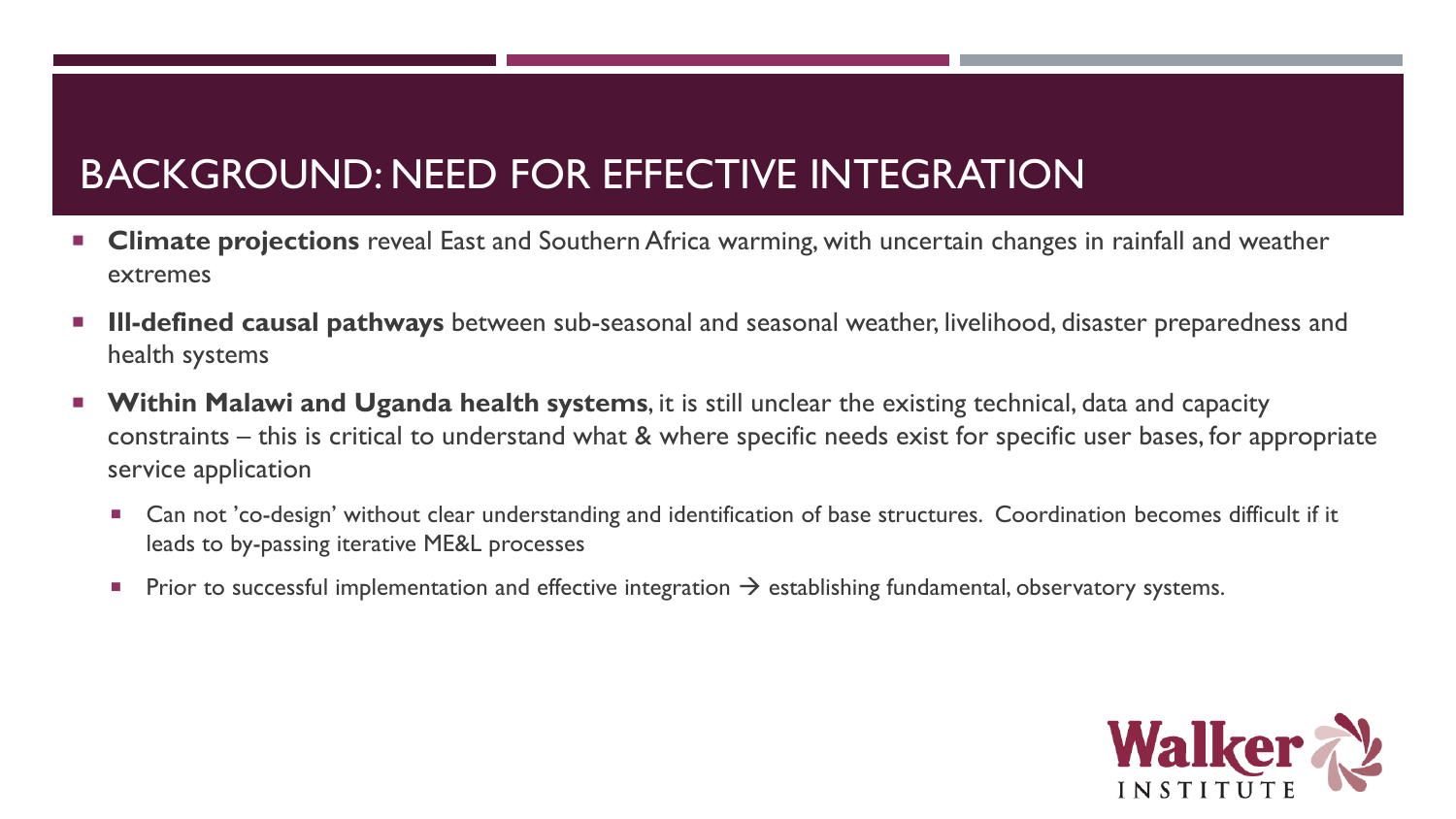### BACKGROUND: NEED FOR EFFECTIVE INTEGRATION

- **Climate projections** reveal East and Southern Africa warming, with uncertain changes in rainfall and weather extremes
- **Ill-defined causal pathways** between sub-seasonal and seasonal weather, livelihood, disaster preparedness and health systems
- **Within Malawi and Uganda health systems**, it is still unclear the existing technical, data and capacity constraints – this is critical to understand what & where specific needs exist for specific user bases, for appropriate service application
	- Can not 'co-design' without clear understanding and identification of base structures. Coordination becomes difficult if it leads to by-passing iterative ME&L processes
	- **Prior to successful implementation and effective integration**  $\rightarrow$  **establishing fundamental, observatory systems.**

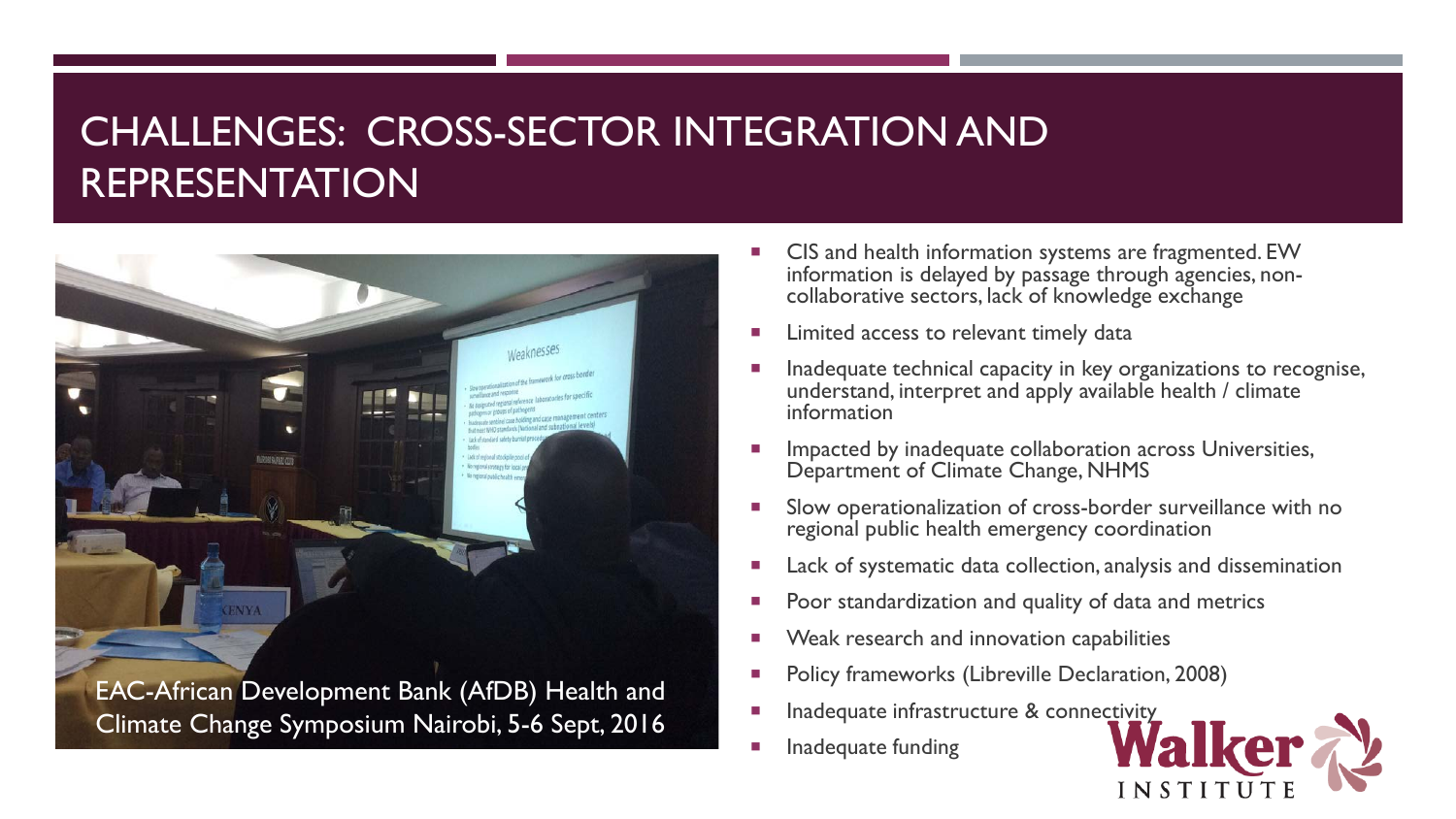#### CHALLENGES: CROSS-SECTOR INTEGRATION AND REPRESENTATION



- CIS and health information systems are fragmented. EW information is delayed by passage through agencies, non- collaborative sectors, lack of knowledge exchange
- Limited access to relevant timely data
- **Inadequate technical capacity in key organizations to recognise,** understand, interpret and apply available health / climate information
- Impacted by inadequate collaboration across Universities, Department of Climate Change, NHMS
- Slow operationalization of cross-border surveillance with no regional public health emergency coordination
- Lack of systematic data collection, analysis and dissemination
- Poor standardization and quality of data and metrics
- Weak research and innovation capabilities
- Policy frameworks (Libreville Declaration, 2008)
- Inadequate infrastructure & connectivity
- Inadequate funding

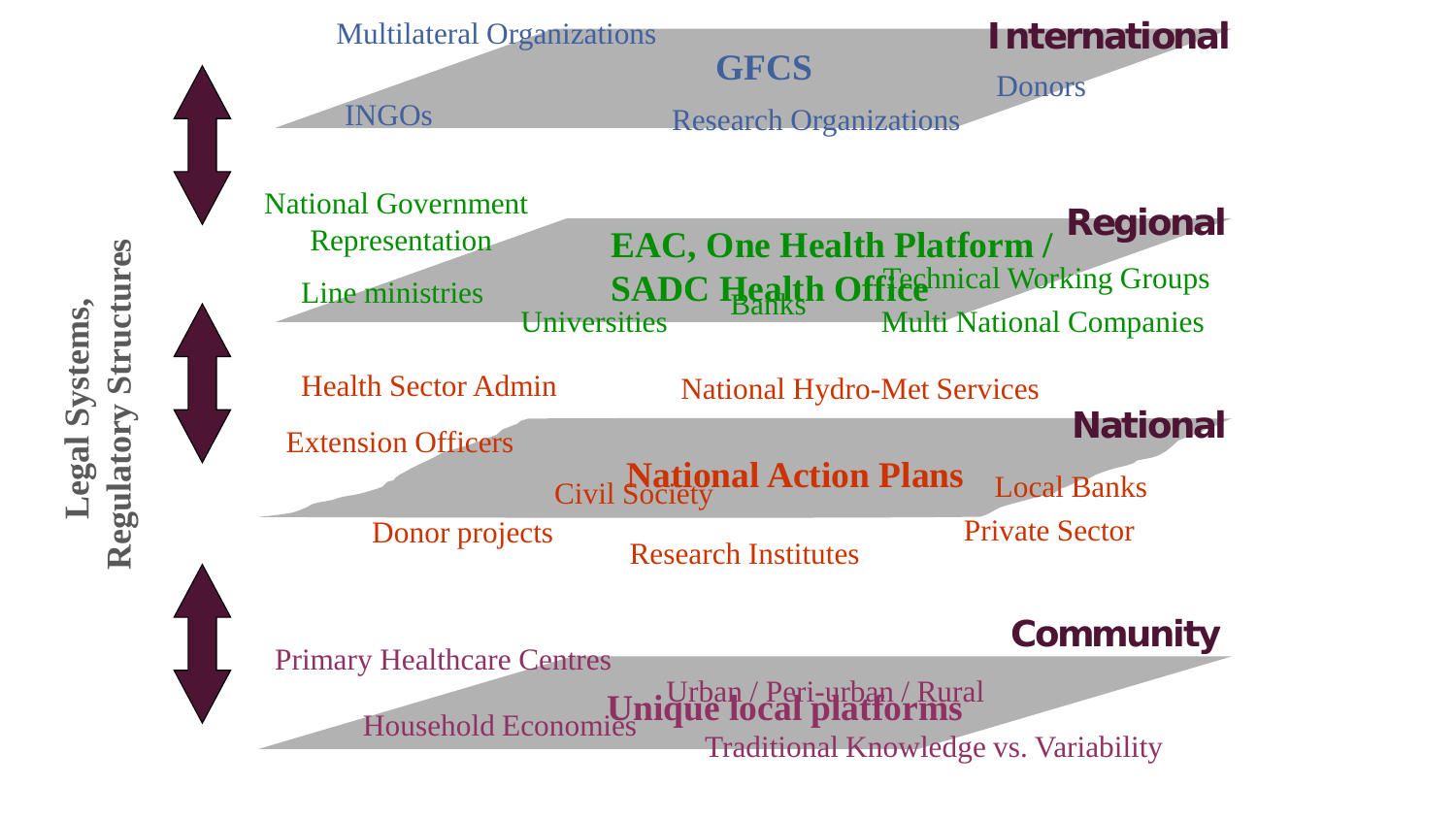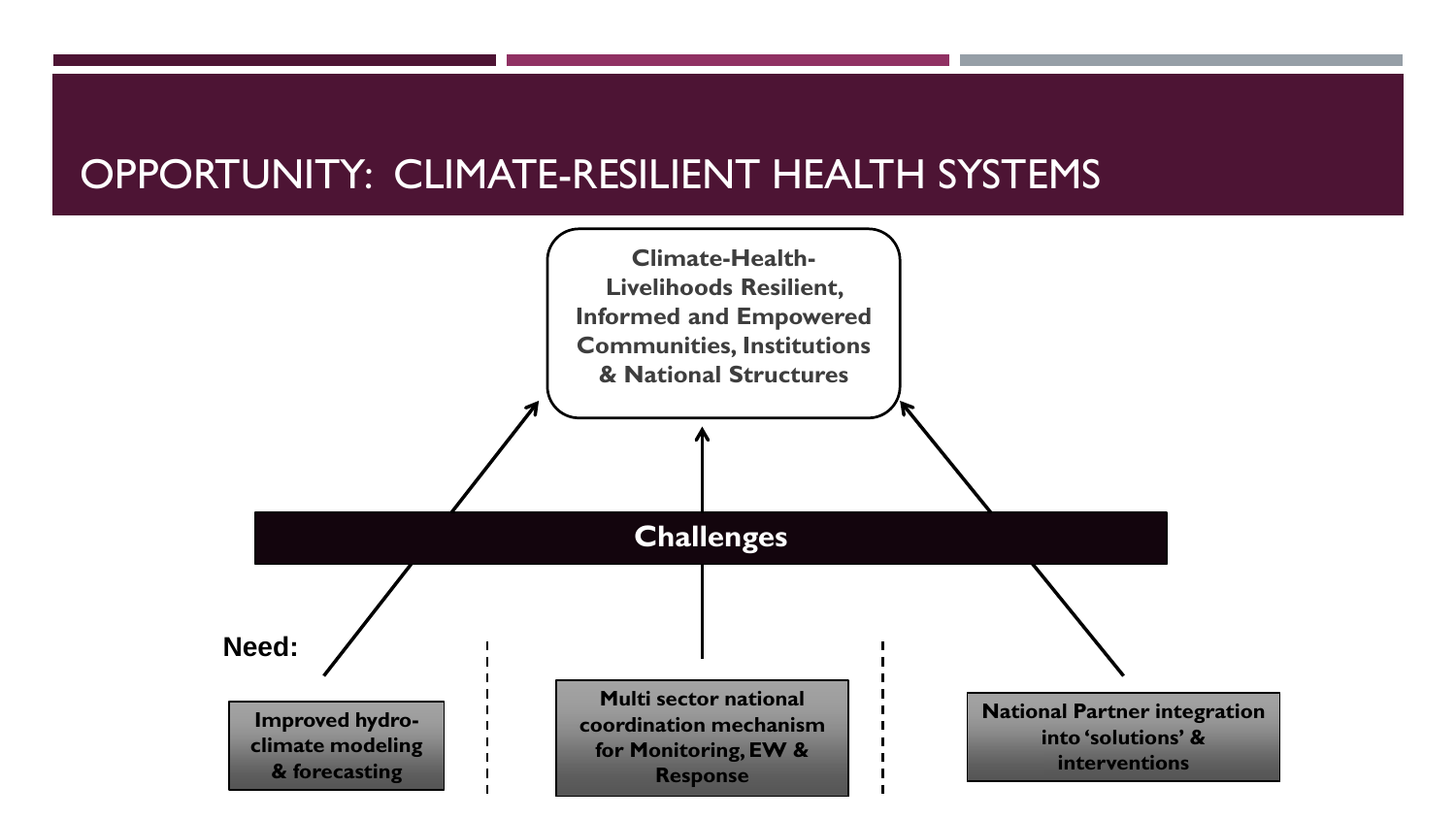#### OPPORTUNITY: CLIMATE-RESILIENT HEALTH SYSTEMS

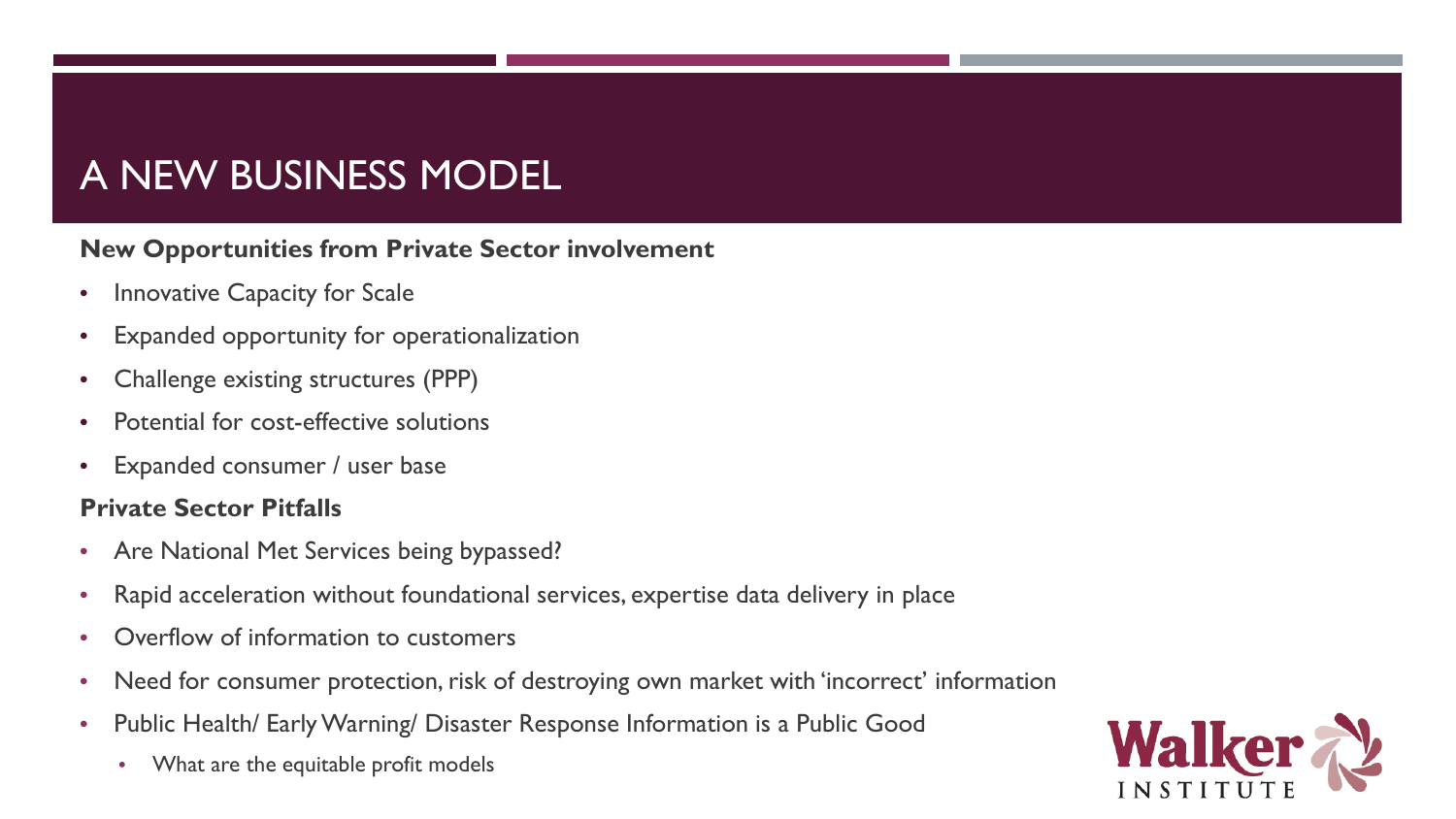### A NEW BUSINESS MODEL

#### **New Opportunities from Private Sector involvement**

- Innovative Capacity for Scale
- Expanded opportunity for operationalization
- Challenge existing structures (PPP)
- Potential for cost-effective solutions
- Expanded consumer / user base

#### **Private Sector Pitfalls**

- Are National Met Services being bypassed?
- Rapid acceleration without foundational services, expertise data delivery in place
- Overflow of information to customers
- Need for consumer protection, risk of destroying own market with 'incorrect' information
- Public Health/ Early Warning/ Disaster Response Information is a Public Good
	- What are the equitable profit models

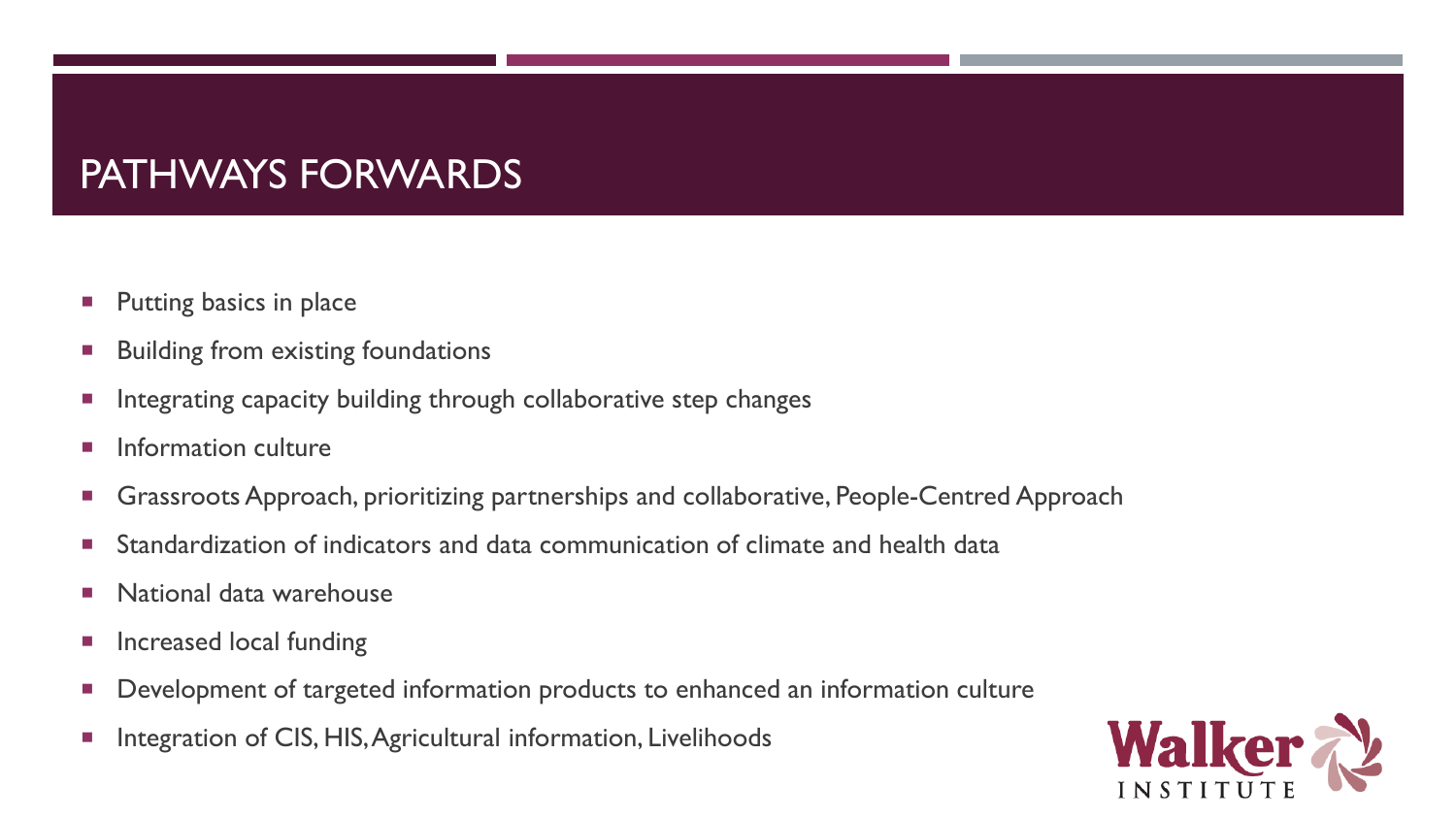#### PATHWAYS FORWARDS

- **Putting basics in place**
- Building from existing foundations
- **Integrating capacity building through collaborative step changes**
- **Information culture**
- **Grassroots Approach, prioritizing partnerships and collaborative, People-Centred Approach**
- Standardization of indicators and data communication of climate and health data
- **National data warehouse**
- **n** Increased local funding
- **Development of targeted information products to enhanced an information culture**
- **Integration of CIS, HIS, Agricultural information, Livelihoods**